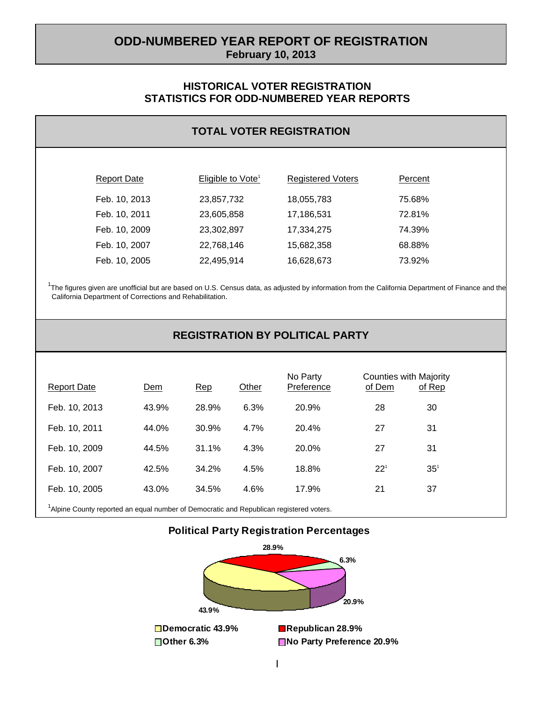## **ODD-NUMBERED YEAR REPORT OF REGISTRATION February 10, 2013**

### **HISTORICAL VOTER REGISTRATION STATISTICS FOR ODD-NUMBERED YEAR REPORTS**

## **TOTAL VOTER REGISTRATION**

| <b>Report Date</b> | Eligible to Vote <sup>1</sup> | <b>Registered Voters</b> | Percent |
|--------------------|-------------------------------|--------------------------|---------|
| Feb. 10, 2013      | 23,857,732                    | 18,055,783               | 75.68%  |
| Feb. 10, 2011      | 23,605,858                    | 17,186,531               | 72.81%  |
| Feb. 10, 2009      | 23,302,897                    | 17,334,275               | 74.39%  |
| Feb. 10, 2007      | 22,768,146                    | 15,682,358               | 68.88%  |
| Feb. 10, 2005      | 22,495,914                    | 16,628,673               | 73.92%  |

<sup>1</sup>The figures given are unofficial but are based on U.S. Census data, as adjusted by information from the California Department of Finance and the California Department of Corrections and Rehabilitation.

## **REGISTRATION BY POLITICAL PARTY**

| <b>Report Date</b> | Dem   | Rep   | Other | No Party<br>Preference | Counties with Majority<br>of Dem | of Rep       |
|--------------------|-------|-------|-------|------------------------|----------------------------------|--------------|
| Feb. 10, 2013      | 43.9% | 28.9% | 6.3%  | 20.9%                  | 28                               | 30           |
| Feb. 10, 2011      | 44.0% | 30.9% | 4.7%  | 20.4%                  | 27                               | 31           |
| Feb. 10, 2009      | 44.5% | 31.1% | 4.3%  | 20.0%                  | 27                               | 31           |
| Feb. 10, 2007      | 42.5% | 34.2% | 4.5%  | 18.8%                  | $22^{1}$                         | $35^{\circ}$ |
| Feb. 10, 2005      | 43.0% | 34.5% | 4.6%  | 17.9%                  | 21                               | 37           |
|                    |       |       |       |                        |                                  |              |

<sup>1</sup>Alpine County reported an equal number of Democratic and Republican registered voters.

#### **Political Party Registration Percentages**